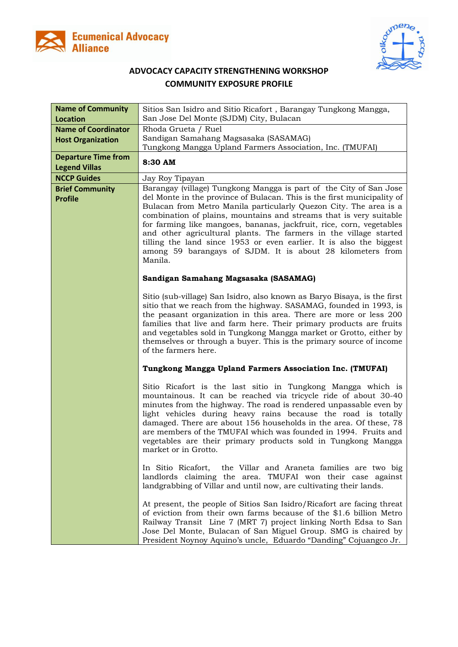



## **ADVOCACY CAPACITY STRENGTHENING WORKSHOP COMMUNITY EXPOSURE PROFILE**

| <b>Name of Community</b><br><b>Location</b>            | Sitios San Isidro and Sitio Ricafort, Barangay Tungkong Mangga,<br>San Jose Del Monte (SJDM) City, Bulacan                                                                                                                                                                                                                                                                                                                                                                                                                                                                            |  |
|--------------------------------------------------------|---------------------------------------------------------------------------------------------------------------------------------------------------------------------------------------------------------------------------------------------------------------------------------------------------------------------------------------------------------------------------------------------------------------------------------------------------------------------------------------------------------------------------------------------------------------------------------------|--|
| <b>Name of Coordinator</b><br><b>Host Organization</b> | Rhoda Grueta / Ruel<br>Sandigan Samahang Magsasaka (SASAMAG)<br>Tungkong Mangga Upland Farmers Association, Inc. (TMUFAI)                                                                                                                                                                                                                                                                                                                                                                                                                                                             |  |
| <b>Departure Time from</b><br><b>Legend Villas</b>     | 8:30 AM                                                                                                                                                                                                                                                                                                                                                                                                                                                                                                                                                                               |  |
| <b>NCCP Guides</b>                                     | Jay Roy Tipayan                                                                                                                                                                                                                                                                                                                                                                                                                                                                                                                                                                       |  |
| <b>Brief Community</b><br><b>Profile</b>               | Barangay (village) Tungkong Mangga is part of the City of San Jose<br>del Monte in the province of Bulacan. This is the first municipality of<br>Bulacan from Metro Manila particularly Quezon City. The area is a<br>combination of plains, mountains and streams that is very suitable<br>for farming like mangoes, bananas, jackfruit, rice, corn, vegetables<br>and other agricultural plants. The farmers in the village started<br>tilling the land since 1953 or even earlier. It is also the biggest<br>among 59 barangays of SJDM. It is about 28 kilometers from<br>Manila. |  |
|                                                        | Sandigan Samahang Magsasaka (SASAMAG)                                                                                                                                                                                                                                                                                                                                                                                                                                                                                                                                                 |  |
|                                                        | Sitio (sub-village) San Isidro, also known as Baryo Bisaya, is the first<br>sitio that we reach from the highway. SASAMAG, founded in 1993, is<br>the peasant organization in this area. There are more or less 200<br>families that live and farm here. Their primary products are fruits<br>and vegetables sold in Tungkong Mangga market or Grotto, either by<br>themselves or through a buyer. This is the primary source of income<br>of the farmers here.                                                                                                                       |  |
|                                                        | Tungkong Mangga Upland Farmers Association Inc. (TMUFAI)                                                                                                                                                                                                                                                                                                                                                                                                                                                                                                                              |  |
|                                                        | Sitio Ricafort is the last sitio in Tungkong Mangga which is<br>mountainous. It can be reached via tricycle ride of about 30-40<br>minutes from the highway. The road is rendered unpassable even by<br>light vehicles during heavy rains because the road is totally<br>damaged. There are about 156 households in the area. Of these, 78<br>are members of the TMUFAI which was founded in 1994. Fruits and<br>vegetables are their primary products sold in Tungkong Mangga<br>market or in Grotto.                                                                                |  |
|                                                        | In Sitio Ricafort, the Villar and Araneta families are two big<br>landlords claiming the area. TMUFAI won their case against<br>landgrabbing of Villar and until now, are cultivating their lands.                                                                                                                                                                                                                                                                                                                                                                                    |  |
|                                                        | At present, the people of Sitios San Isidro/Ricafort are facing threat<br>of eviction from their own farms because of the \$1.6 billion Metro<br>Railway Transit Line 7 (MRT 7) project linking North Edsa to San<br>Jose Del Monte, Bulacan of San Miguel Group. SMG is chaired by<br>President Noynoy Aquino's uncle, Eduardo "Danding" Cojuangco Jr.                                                                                                                                                                                                                               |  |